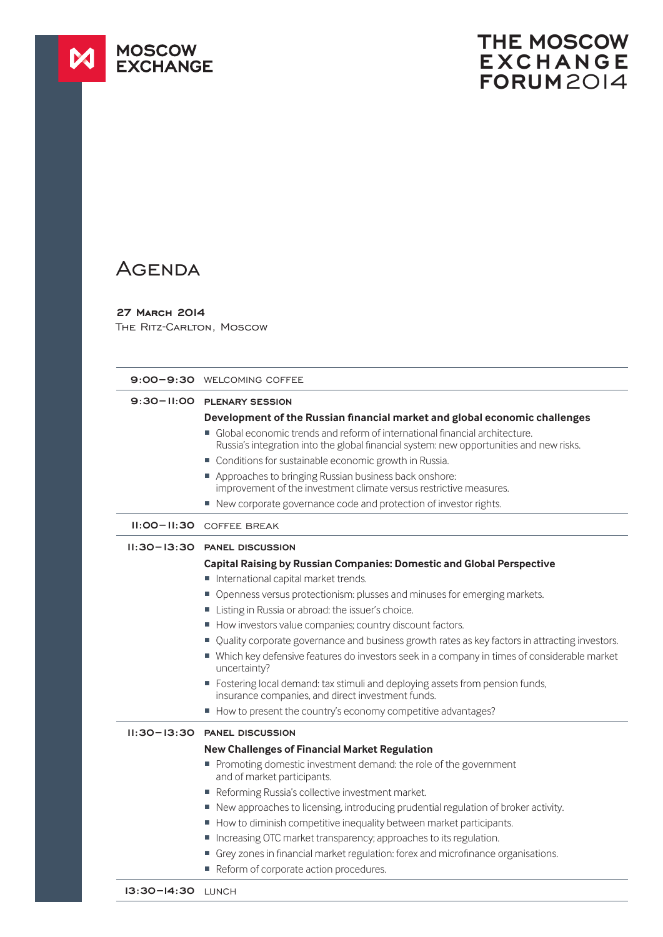

## **THE MOSCOW EXCHANGE FORUM**2014

## **AGENDA**

## **27 March 2014**

THE RITZ-CARLTON, MOSCOW

|                 | 9:00-9:30 WELCOMING COFFEE                                                                                                                                              |
|-----------------|-------------------------------------------------------------------------------------------------------------------------------------------------------------------------|
|                 | 9:30-II:00 PLENARY SESSION                                                                                                                                              |
|                 | Development of the Russian financial market and global economic challenges                                                                                              |
|                 | ■ Global economic trends and reform of international financial architecture.<br>Russia's integration into the global financial system: new opportunities and new risks. |
|                 | • Conditions for sustainable economic growth in Russia.                                                                                                                 |
|                 | Approaches to bringing Russian business back onshore:<br>improvement of the investment climate versus restrictive measures.                                             |
|                 | ■ New corporate governance code and protection of investor rights.                                                                                                      |
|                 | <b>II:00-II:30 COFFEE BREAK</b>                                                                                                                                         |
|                 | 11:30-13:30 PANEL DISCUSSION                                                                                                                                            |
|                 | <b>Capital Raising by Russian Companies: Domestic and Global Perspective</b>                                                                                            |
|                 | International capital market trends.                                                                                                                                    |
|                 | Openness versus protectionism: plusses and minuses for emerging markets.                                                                                                |
|                 | Listing in Russia or abroad: the issuer's choice.                                                                                                                       |
|                 | How investors value companies; country discount factors.                                                                                                                |
|                 | Quality corporate governance and business growth rates as key factors in attracting investors.                                                                          |
|                 | ■ Which key defensive features do investors seek in a company in times of considerable market<br>uncertainty?                                                           |
|                 | ■ Fostering local demand: tax stimuli and deploying assets from pension funds,<br>insurance companies, and direct investment funds.                                     |
|                 | How to present the country's economy competitive advantages?                                                                                                            |
| $II:30 - 13:30$ | <b>PANEL DISCUSSION</b>                                                                                                                                                 |
|                 | <b>New Challenges of Financial Market Regulation</b>                                                                                                                    |
|                 | Promoting domestic investment demand: the role of the government<br>and of market participants.                                                                         |
|                 | Reforming Russia's collective investment market.                                                                                                                        |
|                 | ■ New approaches to licensing, introducing prudential regulation of broker activity.                                                                                    |
|                 | How to diminish competitive inequality between market participants.                                                                                                     |
|                 | Increasing OTC market transparency; approaches to its regulation.<br>ш                                                                                                  |
|                 | Grey zones in financial market regulation: forex and microfinance organisations.                                                                                        |
|                 | Reform of corporate action procedures.                                                                                                                                  |
|                 |                                                                                                                                                                         |